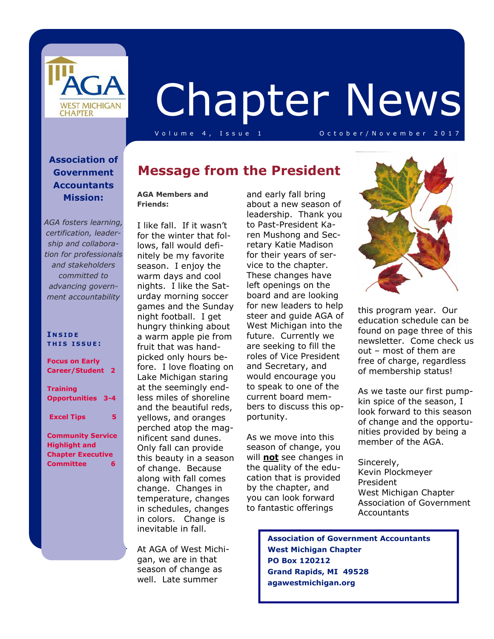

# Chapter News

V o l u m e 4 , I s s u e 1 O c t o b e r / N o v e m b e r 2 0 1 7

#### **Association of Government Accountants Mission:**

*AGA fosters learning, certification, leadership and collaboration for professionals and stakeholders committed to advancing government accountability*

#### **I N S I D E T H I S I S S U E :**

**Focus on Early Career/Student 2 Training** 

**Opportunities 3-4** 

 **Excel Tips 5** 

**Community Service Highlight and Chapter Executive Committee 6** 

### **Message from the President**

#### **AGA Members and Friends:**

I like fall. If it wasn't for the winter that follows, fall would definitely be my favorite season. I enjoy the warm days and cool nights. I like the Saturday morning soccer games and the Sunday night football. I get hungry thinking about a warm apple pie from fruit that was handpicked only hours before. I love floating on Lake Michigan staring at the seemingly endless miles of shoreline and the beautiful reds, yellows, and oranges perched atop the magnificent sand dunes. Only fall can provide this beauty in a season of change. Because along with fall comes change. Changes in temperature, changes in schedules, changes in colors. Change is inevitable in fall.

At AGA of West Michigan, we are in that season of change as well. Late summer

and early fall bring about a new season of leadership. Thank you to Past-President Karen Mushong and Secretary Katie Madison for their years of service to the chapter. These changes have left openings on the board and are looking for new leaders to help steer and guide AGA of West Michigan into the future. Currently we are seeking to fill the roles of Vice President and Secretary, and would encourage you to speak to one of the current board members to discuss this opportunity.

As we move into this season of change, you will **not** see changes in the quality of the education that is provided by the chapter, and you can look forward to fantastic offerings



this program year. Our education schedule can be found on page three of this newsletter. Come check us out – most of them are free of charge, regardless of membership status!

As we taste our first pumpkin spice of the season, I look forward to this season of change and the opportunities provided by being a member of the AGA.

Sincerely, Kevin Plockmeyer President West Michigan Chapter Association of Government **Accountants** 

 **Association of Government Accountants West Michigan Chapter PO Box 120212 Grand Rapids, MI 49528 agawestmichigan.org**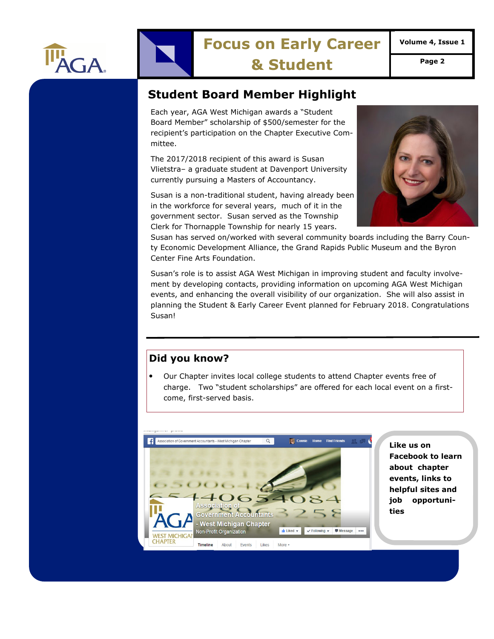

# **Focus on Early Career**

**Volume 4, Issue 1** 

**& Student Page 2** 

#### **Student Board Member Highlight**

Each year, AGA West Michigan awards a "Student Board Member" scholarship of \$500/semester for the recipient's participation on the Chapter Executive Committee.

The 2017/2018 recipient of this award is Susan Vlietstra– a graduate student at Davenport University currently pursuing a Masters of Accountancy.

Susan is a non-traditional student, having already been in the workforce for several years, much of it in the government sector. Susan served as the Township Clerk for Thornapple Township for nearly 15 years.



Susan has served on/worked with several community boards including the Barry County Economic Development Alliance, the Grand Rapids Public Museum and the Byron Center Fine Arts Foundation.

Susan's role is to assist AGA West Michigan in improving student and faculty involvement by developing contacts, providing information on upcoming AGA West Michigan events, and enhancing the overall visibility of our organization. She will also assist in planning the Student & Early Career Event planned for February 2018. Congratulations Susan!

#### **Did you know?**

• Our Chapter invites local college students to attend Chapter events free of charge. Two "student scholarships" are offered for each local event on a firstcome, first-served basis.



**Like us on Facebook to learn about chapter events, links to helpful sites and job opportunities**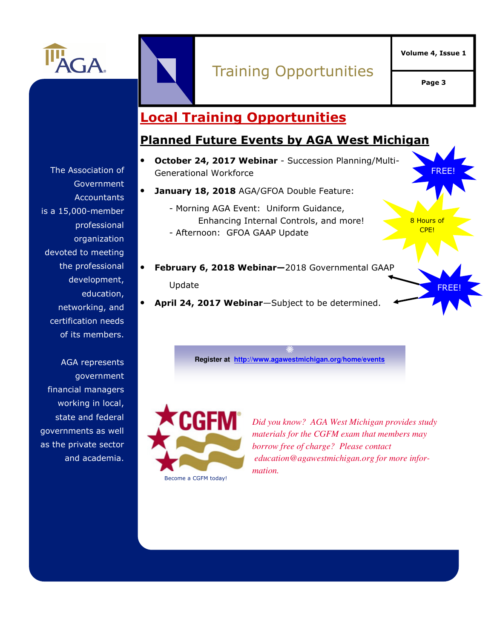

# Training Opportunities

**Page 3** 

FREE!

8 Hours of CPE!

FREE!

## **Local Training Opportunities**

#### **Planned Future Events by AGA West Michigan**

- **October 24, 2017 Webinar**  Succession Planning/Multi-Generational Workforce
- **January 18, 2018** AGA/GFOA Double Feature:
	- Morning AGA Event: Uniform Guidance, Enhancing Internal Controls, and more! - Afternoon: GFOA GAAP Update
- **February 6, 2018 Webinar—**2018 Governmental GAAP Update
- **April 24, 2017 Webinar**—Subject to be determined.

**Register at http://www.agawestmichigan.org/home/events**



*Did you know? AGA West Michigan provides study materials for the CGFM exam that members may borrow free of charge? Please contact education@agawestmichigan.org for more information.* 

The Association of Government **Accountants** is a 15,000-member professional organization devoted to meeting the professional development, education, networking, and certification needs of its members.

AGA represents government financial managers working in local, state and federal governments as well as the private sector and academia.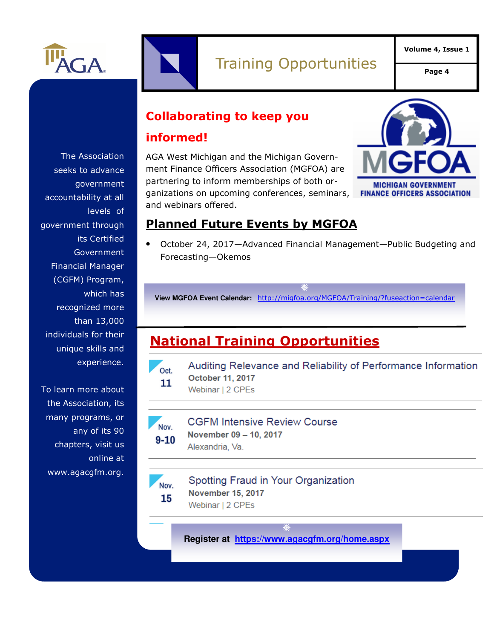

**Collaborating to keep you** 

#### **informed!**

AGA West Michigan and the Michigan Government Finance Officers Association (MGFOA) are partnering to inform memberships of both organizations on upcoming conferences, seminars, and webinars offered.



#### **Planned Future Events by MGFOA**

• October 24, 2017—Advanced Financial Management—Public Budgeting and Forecasting—Okemos

**View MGFOA Event Calendar:** http://migfoa.org/MGFOA/Training/?fuseaction=calendar

# **National Training Opportunities**



Auditing Relevance and Reliability of Performance Information October 11, 2017 Webinar | 2 CPEs



**CGFM Intensive Review Course** 

November 09 - 10, 2017  $9 - 10$ Alexandria, Va.

#### Spotting Fraud in Your Organization Nov. **November 15, 2017**

15 Webinar | 2 CPEs

**Register at https://www.agacgfm.org/home.aspx**

The Association seeks to advance government accountability at all levels of government through its Certified Government Financial Manager (CGFM) Program, which has recognized more than 13,000 individuals for their unique skills and experience.

To learn more about the Association, its many programs, or any of its 90 chapters, visit us online at www.agacgfm.org.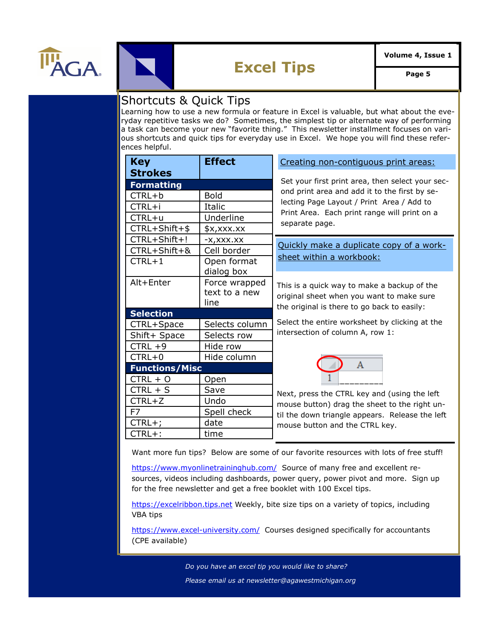



# **Excel Tips Page 5**

#### Shortcuts & Quick Tips

Learning how to use a new formula or feature in Excel is valuable, but what about the everyday repetitive tasks we do? Sometimes, the simplest tip or alternate way of performing a task can become your new "favorite thing." This newsletter installment focuses on various shortcuts and quick tips for everyday use in Excel. We hope you will find these references helpful.

| <b>Key</b>            | <b>Effect</b>  | Creating non-contiguous print areas:                                                                                                                                               |
|-----------------------|----------------|------------------------------------------------------------------------------------------------------------------------------------------------------------------------------------|
| <b>Strokes</b>        |                | Set your first print area, then select your sec-                                                                                                                                   |
| <b>Formatting</b>     |                |                                                                                                                                                                                    |
| CTRL+b                | <b>Bold</b>    | ond print area and add it to the first by se-<br>lecting Page Layout / Print Area / Add to<br>Print Area. Each print range will print on a<br>separate page.                       |
| CTRL+i                | Italic         |                                                                                                                                                                                    |
| CTRL+u                | Underline      |                                                                                                                                                                                    |
| $CTRL + Shift + $$    | $$x,$ xxx.xx   |                                                                                                                                                                                    |
| CTRL+Shift+!          | -X,XXX.XX      | Quickly make a duplicate copy of a work-<br>sheet within a workbook:<br>This is a quick way to make a backup of the                                                                |
| CTRL+Shift+&          | Cell border    |                                                                                                                                                                                    |
| $CTRL+1$              | Open format    |                                                                                                                                                                                    |
|                       | dialog box     |                                                                                                                                                                                    |
| Alt+Enter             | Force wrapped  |                                                                                                                                                                                    |
|                       | text to a new  | original sheet when you want to make sure                                                                                                                                          |
|                       | line           | the original is there to go back to easily:                                                                                                                                        |
| <b>Selection</b>      |                |                                                                                                                                                                                    |
| CTRL+Space            | Selects column | Select the entire worksheet by clicking at the<br>intersection of column A, row 1:                                                                                                 |
| Shift+ Space          | Selects row    |                                                                                                                                                                                    |
| $CTRL +9$             | Hide row       |                                                                                                                                                                                    |
| $CTRL+0$              | Hide column    |                                                                                                                                                                                    |
| <b>Functions/Misc</b> |                | A                                                                                                                                                                                  |
| $CTRL + O$            | Open           | Next, press the CTRL key and (using the left<br>mouse button) drag the sheet to the right un-<br>til the down triangle appears. Release the left<br>mouse button and the CTRL key. |
| $CTRL + S$            | Save           |                                                                                                                                                                                    |
| $CTRL+Z$              | Undo           |                                                                                                                                                                                    |
| F7                    | Spell check    |                                                                                                                                                                                    |
| $CTRL+;$              | date           |                                                                                                                                                                                    |
| CTRL+:                | time           |                                                                                                                                                                                    |

Want more fun tips? Below are some of our favorite resources with lots of free stuff!

https://www.myonlinetraininghub.com/ Source of many free and excellent resources, videos including dashboards, power query, power pivot and more. Sign up for the free newsletter and get a free booklet with 100 Excel tips.

https://excelribbon.tips.net Weekly, bite size tips on a variety of topics, including VBA tips

https://www.excel-university.com/ Courses designed specifically for accountants<br><sup>/CDF</sup> susilabla) (CPE available)

*Do you have an excel tip you would like to share?* 

*Please email us at newsletter@agawestmichigan.org*